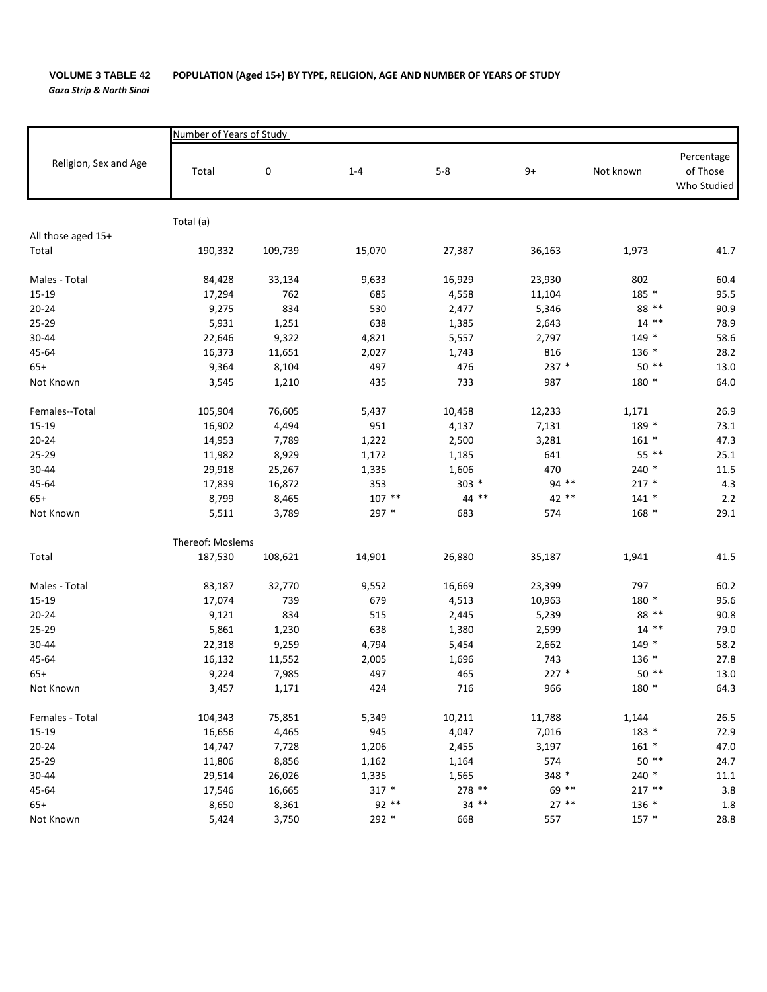*Gaza Strip & North Sinai*

|                       | Number of Years of Study |           |          |         |         |           |                                       |  |  |  |
|-----------------------|--------------------------|-----------|----------|---------|---------|-----------|---------------------------------------|--|--|--|
| Religion, Sex and Age | Total                    | $\pmb{0}$ | $1 - 4$  | $5-8$   | $9+$    | Not known | Percentage<br>of Those<br>Who Studied |  |  |  |
|                       | Total (a)                |           |          |         |         |           |                                       |  |  |  |
| All those aged 15+    |                          |           |          |         |         |           |                                       |  |  |  |
| Total                 | 190,332                  | 109,739   | 15,070   | 27,387  | 36,163  | 1,973     | 41.7                                  |  |  |  |
|                       |                          |           |          |         |         |           |                                       |  |  |  |
| Males - Total         | 84,428                   | 33,134    | 9,633    | 16,929  | 23,930  | 802       | 60.4                                  |  |  |  |
| 15-19                 | 17,294                   | 762       | 685      | 4,558   | 11,104  | 185 *     | 95.5                                  |  |  |  |
| $20 - 24$             | 9,275                    | 834       | 530      | 2,477   | 5,346   | 88 **     | 90.9                                  |  |  |  |
| 25-29                 | 5,931                    | 1,251     | 638      | 1,385   | 2,643   | $14$ **   | 78.9                                  |  |  |  |
| 30-44                 | 22,646                   | 9,322     | 4,821    | 5,557   | 2,797   | $149 *$   | 58.6                                  |  |  |  |
| 45-64                 | 16,373                   | 11,651    | 2,027    | 1,743   | 816     | $136 *$   | 28.2                                  |  |  |  |
| $65+$                 | 9,364                    | 8,104     | 497      | 476     | 237 *   | $50**$    | 13.0                                  |  |  |  |
| Not Known             | 3,545                    | 1,210     | 435      | 733     | 987     | 180 *     | 64.0                                  |  |  |  |
| Females--Total        | 105,904                  | 76,605    | 5,437    | 10,458  | 12,233  | 1,171     | 26.9                                  |  |  |  |
| 15-19                 | 16,902                   | 4,494     | 951      | 4,137   | 7,131   | 189 *     | 73.1                                  |  |  |  |
| $20 - 24$             | 14,953                   | 7,789     | 1,222    | 2,500   | 3,281   | $161 *$   | 47.3                                  |  |  |  |
| 25-29                 | 11,982                   | 8,929     | 1,172    | 1,185   | 641     | 55 **     | 25.1                                  |  |  |  |
| 30-44                 | 29,918                   | 25,267    | 1,335    | 1,606   | 470     | $240*$    | 11.5                                  |  |  |  |
| 45-64                 | 17,839                   | 16,872    | 353      | $303 *$ | 94 **   | $217 *$   | 4.3                                   |  |  |  |
| $65+$                 | 8,799                    | 8,465     | $107$ ** | $44$ ** | 42 **   | $141 *$   | 2.2                                   |  |  |  |
| Not Known             | 5,511                    | 3,789     | 297 *    | 683     | 574     | $168 *$   | 29.1                                  |  |  |  |
|                       | Thereof: Moslems         |           |          |         |         |           |                                       |  |  |  |
| Total                 | 187,530                  | 108,621   | 14,901   | 26,880  | 35,187  | 1,941     | 41.5                                  |  |  |  |
| Males - Total         | 83,187                   | 32,770    | 9,552    | 16,669  | 23,399  | 797       | 60.2                                  |  |  |  |
| $15-19$               | 17,074                   | 739       | 679      | 4,513   | 10,963  | 180 *     | 95.6                                  |  |  |  |
| $20 - 24$             | 9,121                    | 834       | 515      | 2,445   | 5,239   | 88 **     | 90.8                                  |  |  |  |
| 25-29                 | 5,861                    | 1,230     | 638      | 1,380   | 2,599   | $14$ **   | 79.0                                  |  |  |  |
| 30-44                 | 22,318                   | 9,259     | 4,794    | 5,454   | 2,662   | $149 *$   | 58.2                                  |  |  |  |
| 45-64                 | 16,132                   | 11,552    | 2,005    | 1,696   | 743     | $136 *$   | 27.8                                  |  |  |  |
| $65+$                 | 9,224                    | 7,985     | 497      | 465     | $227 *$ | $50**$    | 13.0                                  |  |  |  |
| Not Known             | 3,457                    | 1,171     | 424      | 716     | 966     | 180 *     | 64.3                                  |  |  |  |
| Females - Total       | 104,343                  | 75,851    | 5,349    | 10,211  | 11,788  | 1,144     | 26.5                                  |  |  |  |
|                       |                          |           |          |         |         | $183 *$   |                                       |  |  |  |
| 15-19                 | 16,656                   | 4,465     | 945      | 4,047   | 7,016   |           | 72.9                                  |  |  |  |
| $20 - 24$             | 14,747                   | 7,728     | 1,206    | 2,455   | 3,197   | $161 *$   | 47.0                                  |  |  |  |
| 25-29                 | 11,806                   | 8,856     | 1,162    | 1,164   | 574     | $50**$    | 24.7                                  |  |  |  |
| 30-44                 | 29,514                   | 26,026    | 1,335    | 1,565   | 348 *   | $240*$    | 11.1                                  |  |  |  |
| 45-64                 | 17,546                   | 16,665    | $317 *$  | 278 **  | 69 **   | $217**$   | 3.8                                   |  |  |  |
| $65+$                 | 8,650                    | 8,361     | $92**$   | $34$ ** | $27**$  | $136 *$   | 1.8                                   |  |  |  |
| Not Known             | 5,424                    | 3,750     | 292 *    | 668     | 557     | $157 *$   | 28.8                                  |  |  |  |